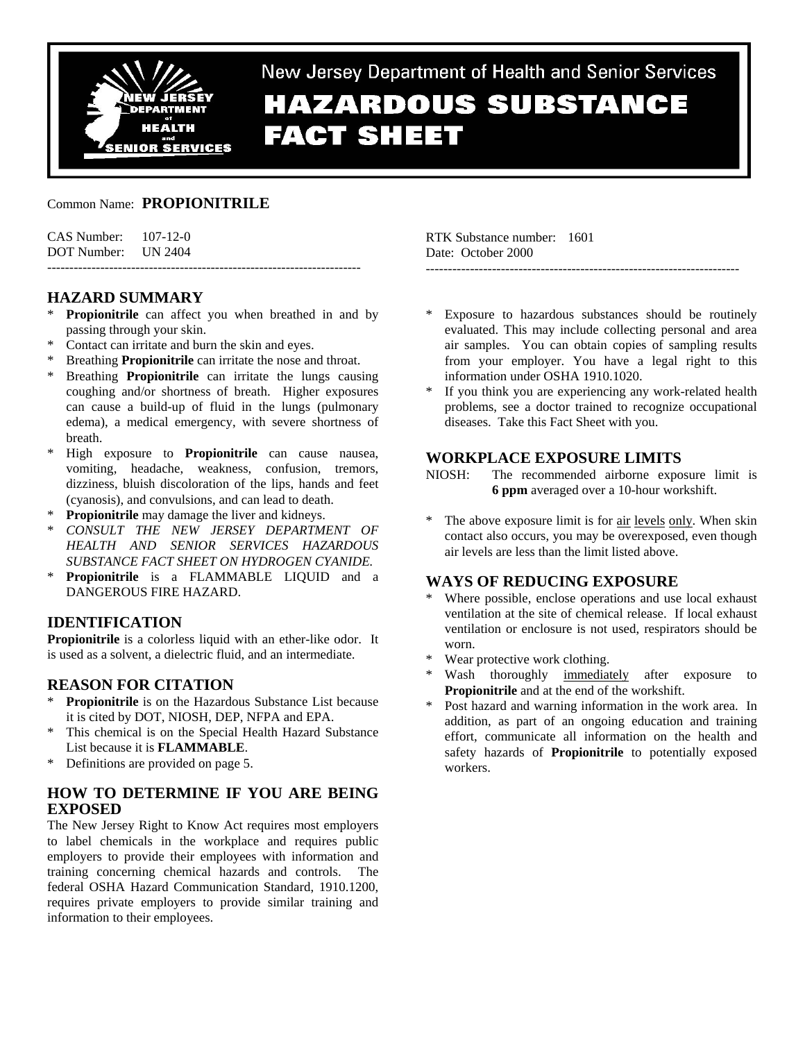

# New Jersey Department of Health and Senior Services **HAZARDOUS SUBSTANCE FACT SHEET**

### Common Name: **PROPIONITRILE**

| $CAS$ Number: $107-12-0$ |  |
|--------------------------|--|
| DOT Number: UN 2404      |  |
|                          |  |

# **HAZARD SUMMARY**

- **Propionitrile** can affect you when breathed in and by passing through your skin.
- \* Contact can irritate and burn the skin and eyes.
- Breathing **Propionitrile** can irritate the nose and throat.
- Breathing **Propionitrile** can irritate the lungs causing coughing and/or shortness of breath. Higher exposures can cause a build-up of fluid in the lungs (pulmonary edema), a medical emergency, with severe shortness of breath.
- \* High exposure to **Propionitrile** can cause nausea, vomiting, headache, weakness, confusion, tremors, dizziness, bluish discoloration of the lips, hands and feet (cyanosis), and convulsions, and can lead to death.
- **Propionitrile** may damage the liver and kidneys.
- \* *CONSULT THE NEW JERSEY DEPARTMENT OF HEALTH AND SENIOR SERVICES HAZARDOUS SUBSTANCE FACT SHEET ON HYDROGEN CYANIDE.*
- Propionitrile is a FLAMMABLE LIQUID and a DANGEROUS FIRE HAZARD.

# **IDENTIFICATION**

**Propionitrile** is a colorless liquid with an ether-like odor. It is used as a solvent, a dielectric fluid, and an intermediate.

# **REASON FOR CITATION**

- \* **Propionitrile** is on the Hazardous Substance List because it is cited by DOT, NIOSH, DEP, NFPA and EPA.
- \* This chemical is on the Special Health Hazard Substance List because it is **FLAMMABLE**.
- \* Definitions are provided on page 5.

# **HOW TO DETERMINE IF YOU ARE BEING EXPOSED**

The New Jersey Right to Know Act requires most employers to label chemicals in the workplace and requires public employers to provide their employees with information and training concerning chemical hazards and controls. The federal OSHA Hazard Communication Standard, 1910.1200, requires private employers to provide similar training and information to their employees.

RTK Substance number: 1601 Date: October 2000

Exposure to hazardous substances should be routinely evaluated. This may include collecting personal and area air samples. You can obtain copies of sampling results from your employer. You have a legal right to this information under OSHA 1910.1020.

-----------------------------------------------------------------------

If you think you are experiencing any work-related health problems, see a doctor trained to recognize occupational diseases. Take this Fact Sheet with you.

### **WORKPLACE EXPOSURE LIMITS**

- NIOSH: The recommended airborne exposure limit is **6 ppm** averaged over a 10-hour workshift.
- \* The above exposure limit is for air levels only. When skin contact also occurs, you may be overexposed, even though air levels are less than the limit listed above.

# **WAYS OF REDUCING EXPOSURE**

- Where possible, enclose operations and use local exhaust ventilation at the site of chemical release. If local exhaust ventilation or enclosure is not used, respirators should be worn.
- \* Wear protective work clothing.
- Wash thoroughly immediately after exposure to **Propionitrile** and at the end of the workshift.
- Post hazard and warning information in the work area. In addition, as part of an ongoing education and training effort, communicate all information on the health and safety hazards of **Propionitrile** to potentially exposed workers.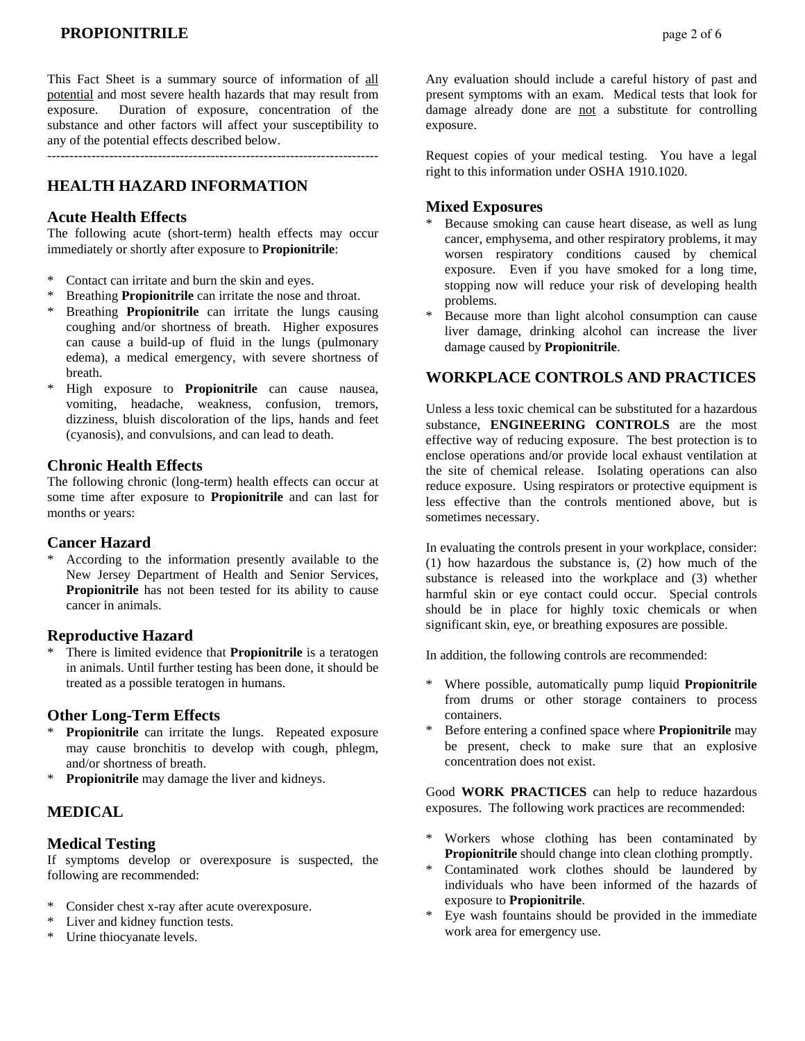This Fact Sheet is a summary source of information of all potential and most severe health hazards that may result from exposure. Duration of exposure, concentration of the substance and other factors will affect your susceptibility to any of the potential effects described below.

---------------------------------------------------------------------------

# **HEALTH HAZARD INFORMATION**

### **Acute Health Effects**

The following acute (short-term) health effects may occur immediately or shortly after exposure to **Propionitrile**:

- \* Contact can irritate and burn the skin and eyes.
- \* Breathing **Propionitrile** can irritate the nose and throat.
- Breathing **Propionitrile** can irritate the lungs causing coughing and/or shortness of breath. Higher exposures can cause a build-up of fluid in the lungs (pulmonary edema), a medical emergency, with severe shortness of breath.
- \* High exposure to **Propionitrile** can cause nausea, vomiting, headache, weakness, confusion, tremors, dizziness, bluish discoloration of the lips, hands and feet (cyanosis), and convulsions, and can lead to death.

### **Chronic Health Effects**

The following chronic (long-term) health effects can occur at some time after exposure to **Propionitrile** and can last for months or years:

### **Cancer Hazard**

According to the information presently available to the New Jersey Department of Health and Senior Services, **Propionitrile** has not been tested for its ability to cause cancer in animals.

### **Reproductive Hazard**

There is limited evidence that **Propionitrile** is a teratogen in animals. Until further testing has been done, it should be treated as a possible teratogen in humans.

### **Other Long-Term Effects**

- Propionitrile can irritate the lungs. Repeated exposure may cause bronchitis to develop with cough, phlegm, and/or shortness of breath.
- **Propionitrile** may damage the liver and kidneys.

### **MEDICAL**

### **Medical Testing**

If symptoms develop or overexposure is suspected, the following are recommended:

- Consider chest x-ray after acute overexposure.
- \* Liver and kidney function tests.
- \* Urine thiocyanate levels.

Any evaluation should include a careful history of past and present symptoms with an exam. Medical tests that look for damage already done are not a substitute for controlling exposure.

Request copies of your medical testing. You have a legal right to this information under OSHA 1910.1020.

### **Mixed Exposures**

- Because smoking can cause heart disease, as well as lung cancer, emphysema, and other respiratory problems, it may worsen respiratory conditions caused by chemical exposure. Even if you have smoked for a long time, stopping now will reduce your risk of developing health problems.
- Because more than light alcohol consumption can cause liver damage, drinking alcohol can increase the liver damage caused by **Propionitrile**.

### **WORKPLACE CONTROLS AND PRACTICES**

Unless a less toxic chemical can be substituted for a hazardous substance, **ENGINEERING CONTROLS** are the most effective way of reducing exposure. The best protection is to enclose operations and/or provide local exhaust ventilation at the site of chemical release. Isolating operations can also reduce exposure. Using respirators or protective equipment is less effective than the controls mentioned above, but is sometimes necessary.

In evaluating the controls present in your workplace, consider: (1) how hazardous the substance is, (2) how much of the substance is released into the workplace and (3) whether harmful skin or eye contact could occur. Special controls should be in place for highly toxic chemicals or when significant skin, eye, or breathing exposures are possible.

In addition, the following controls are recommended:

- Where possible, automatically pump liquid **Propionitrile** from drums or other storage containers to process containers.
- Before entering a confined space where **Propionitrile** may be present, check to make sure that an explosive concentration does not exist.

Good **WORK PRACTICES** can help to reduce hazardous exposures. The following work practices are recommended:

- \* Workers whose clothing has been contaminated by **Propionitrile** should change into clean clothing promptly.
- \* Contaminated work clothes should be laundered by individuals who have been informed of the hazards of exposure to **Propionitrile**.
- Eye wash fountains should be provided in the immediate work area for emergency use.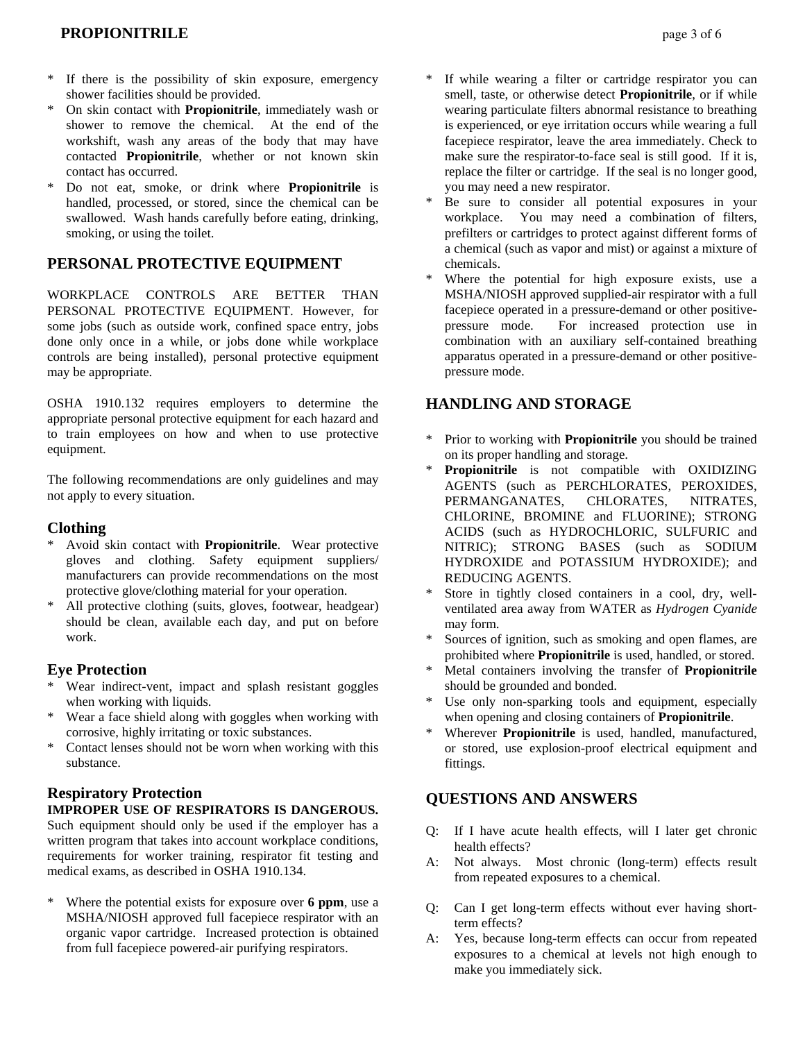- If there is the possibility of skin exposure, emergency shower facilities should be provided.
- \* On skin contact with **Propionitrile**, immediately wash or shower to remove the chemical. At the end of the workshift, wash any areas of the body that may have contacted **Propionitrile**, whether or not known skin contact has occurred.
- \* Do not eat, smoke, or drink where **Propionitrile** is handled, processed, or stored, since the chemical can be swallowed. Wash hands carefully before eating, drinking, smoking, or using the toilet.

# **PERSONAL PROTECTIVE EQUIPMENT**

WORKPLACE CONTROLS ARE BETTER THAN PERSONAL PROTECTIVE EQUIPMENT. However, for some jobs (such as outside work, confined space entry, jobs done only once in a while, or jobs done while workplace controls are being installed), personal protective equipment may be appropriate.

OSHA 1910.132 requires employers to determine the appropriate personal protective equipment for each hazard and to train employees on how and when to use protective equipment.

The following recommendations are only guidelines and may not apply to every situation.

### **Clothing**

- \* Avoid skin contact with **Propionitrile**. Wear protective gloves and clothing. Safety equipment suppliers/ manufacturers can provide recommendations on the most protective glove/clothing material for your operation.
- \* All protective clothing (suits, gloves, footwear, headgear) should be clean, available each day, and put on before work.

### **Eye Protection**

- Wear indirect-vent, impact and splash resistant goggles when working with liquids.
- \* Wear a face shield along with goggles when working with corrosive, highly irritating or toxic substances.
- Contact lenses should not be worn when working with this substance.

# **Respiratory Protection**

### **IMPROPER USE OF RESPIRATORS IS DANGEROUS.**

Such equipment should only be used if the employer has a written program that takes into account workplace conditions, requirements for worker training, respirator fit testing and medical exams, as described in OSHA 1910.134.

Where the potential exists for exposure over **6 ppm**, use a MSHA/NIOSH approved full facepiece respirator with an organic vapor cartridge. Increased protection is obtained from full facepiece powered-air purifying respirators.

- If while wearing a filter or cartridge respirator you can smell, taste, or otherwise detect **Propionitrile**, or if while wearing particulate filters abnormal resistance to breathing is experienced, or eye irritation occurs while wearing a full facepiece respirator, leave the area immediately. Check to make sure the respirator-to-face seal is still good. If it is, replace the filter or cartridge. If the seal is no longer good, you may need a new respirator.
- \* Be sure to consider all potential exposures in your workplace. You may need a combination of filters, prefilters or cartridges to protect against different forms of a chemical (such as vapor and mist) or against a mixture of chemicals.
- Where the potential for high exposure exists, use a MSHA/NIOSH approved supplied-air respirator with a full facepiece operated in a pressure-demand or other positivepressure mode. For increased protection use in combination with an auxiliary self-contained breathing apparatus operated in a pressure-demand or other positivepressure mode.

# **HANDLING AND STORAGE**

- Prior to working with **Propionitrile** you should be trained on its proper handling and storage.
- Propionitrile is not compatible with OXIDIZING AGENTS (such as PERCHLORATES, PEROXIDES, PERMANGANATES, CHLORATES, NITRATES, CHLORINE, BROMINE and FLUORINE); STRONG ACIDS (such as HYDROCHLORIC, SULFURIC and NITRIC); STRONG BASES (such as SODIUM HYDROXIDE and POTASSIUM HYDROXIDE); and REDUCING AGENTS.
- Store in tightly closed containers in a cool, dry, wellventilated area away from WATER as *Hydrogen Cyanide* may form.
- Sources of ignition, such as smoking and open flames, are prohibited where **Propionitrile** is used, handled, or stored.
- Metal containers involving the transfer of **Propionitrile** should be grounded and bonded.
- \* Use only non-sparking tools and equipment, especially when opening and closing containers of **Propionitrile**.
- Wherever **Propionitrile** is used, handled, manufactured, or stored, use explosion-proof electrical equipment and fittings.

# **QUESTIONS AND ANSWERS**

- Q: If I have acute health effects, will I later get chronic health effects?
- A: Not always. Most chronic (long-term) effects result from repeated exposures to a chemical.
- Q: Can I get long-term effects without ever having shortterm effects?
- A: Yes, because long-term effects can occur from repeated exposures to a chemical at levels not high enough to make you immediately sick.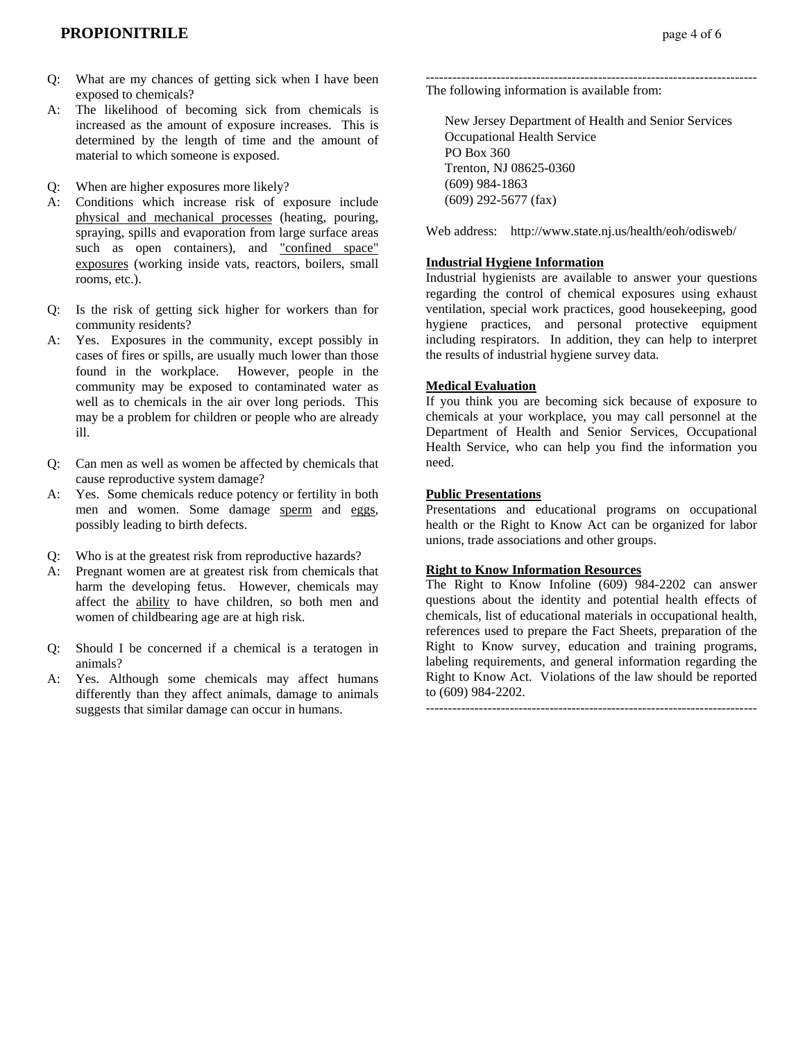- Q: What are my chances of getting sick when I have been exposed to chemicals?
- A: The likelihood of becoming sick from chemicals is increased as the amount of exposure increases. This is determined by the length of time and the amount of material to which someone is exposed.

Q: When are higher exposures more likely?

- A: Conditions which increase risk of exposure include physical and mechanical processes (heating, pouring, spraying, spills and evaporation from large surface areas such as open containers), and "confined space" exposures (working inside vats, reactors, boilers, small rooms, etc.).
- Q: Is the risk of getting sick higher for workers than for community residents?
- A: Yes. Exposures in the community, except possibly in cases of fires or spills, are usually much lower than those found in the workplace. However, people in the community may be exposed to contaminated water as well as to chemicals in the air over long periods. This may be a problem for children or people who are already ill.
- Q: Can men as well as women be affected by chemicals that cause reproductive system damage?
- A: Yes. Some chemicals reduce potency or fertility in both men and women. Some damage sperm and eggs, possibly leading to birth defects.
- Q: Who is at the greatest risk from reproductive hazards?
- A: Pregnant women are at greatest risk from chemicals that harm the developing fetus. However, chemicals may affect the ability to have children, so both men and women of childbearing age are at high risk.
- Q: Should I be concerned if a chemical is a teratogen in animals?
- A: Yes. Although some chemicals may affect humans differently than they affect animals, damage to animals suggests that similar damage can occur in humans.

--------------------------------------------------------------------------- The following information is available from:

 New Jersey Department of Health and Senior Services Occupational Health Service PO Box 360 Trenton, NJ 08625-0360 (609) 984-1863 (609) 292-5677 (fax)

Web address: http://www.state.nj.us/health/eoh/odisweb/

### **Industrial Hygiene Information**

Industrial hygienists are available to answer your questions regarding the control of chemical exposures using exhaust ventilation, special work practices, good housekeeping, good hygiene practices, and personal protective equipment including respirators. In addition, they can help to interpret the results of industrial hygiene survey data.

### **Medical Evaluation**

If you think you are becoming sick because of exposure to chemicals at your workplace, you may call personnel at the Department of Health and Senior Services, Occupational Health Service, who can help you find the information you need.

### **Public Presentations**

Presentations and educational programs on occupational health or the Right to Know Act can be organized for labor unions, trade associations and other groups.

### **Right to Know Information Resources**

The Right to Know Infoline (609) 984-2202 can answer questions about the identity and potential health effects of chemicals, list of educational materials in occupational health, references used to prepare the Fact Sheets, preparation of the Right to Know survey, education and training programs, labeling requirements, and general information regarding the Right to Know Act. Violations of the law should be reported to (609) 984-2202.

---------------------------------------------------------------------------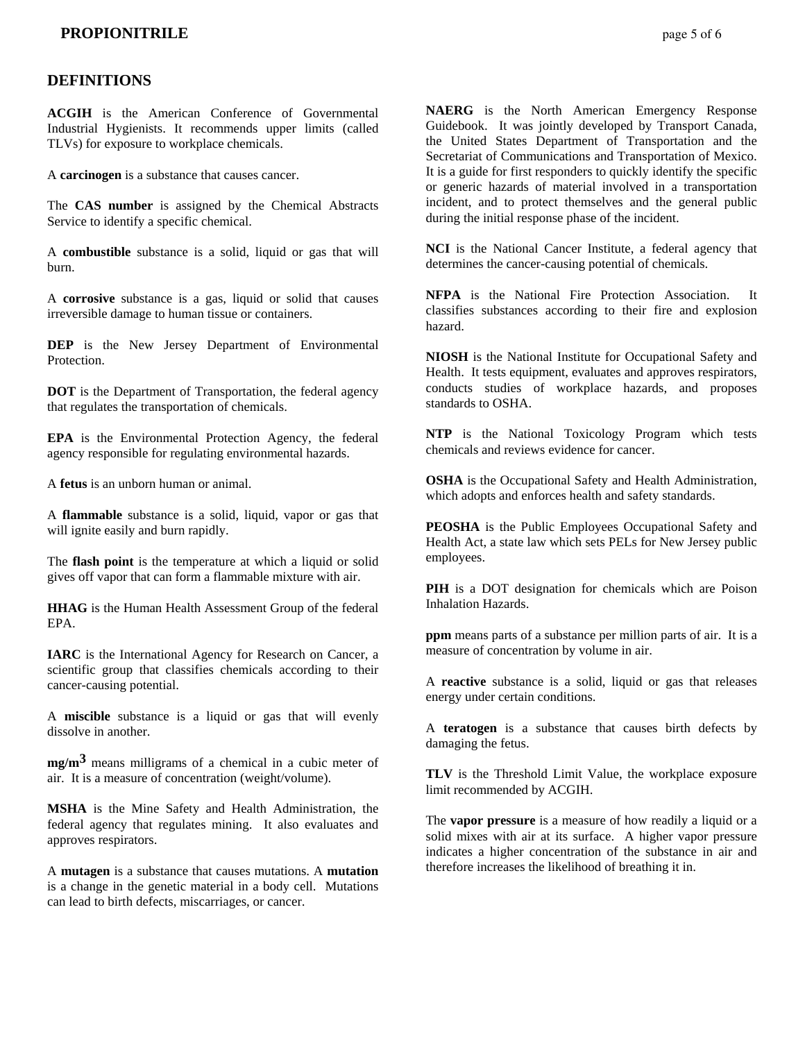### **DEFINITIONS**

**ACGIH** is the American Conference of Governmental Industrial Hygienists. It recommends upper limits (called TLVs) for exposure to workplace chemicals.

A **carcinogen** is a substance that causes cancer.

The **CAS number** is assigned by the Chemical Abstracts Service to identify a specific chemical.

A **combustible** substance is a solid, liquid or gas that will burn.

A **corrosive** substance is a gas, liquid or solid that causes irreversible damage to human tissue or containers.

**DEP** is the New Jersey Department of Environmental Protection.

**DOT** is the Department of Transportation, the federal agency that regulates the transportation of chemicals.

**EPA** is the Environmental Protection Agency, the federal agency responsible for regulating environmental hazards.

A **fetus** is an unborn human or animal.

A **flammable** substance is a solid, liquid, vapor or gas that will ignite easily and burn rapidly.

The **flash point** is the temperature at which a liquid or solid gives off vapor that can form a flammable mixture with air.

**HHAG** is the Human Health Assessment Group of the federal EPA.

**IARC** is the International Agency for Research on Cancer, a scientific group that classifies chemicals according to their cancer-causing potential.

A **miscible** substance is a liquid or gas that will evenly dissolve in another.

**mg/m3** means milligrams of a chemical in a cubic meter of air. It is a measure of concentration (weight/volume).

**MSHA** is the Mine Safety and Health Administration, the federal agency that regulates mining. It also evaluates and approves respirators.

A **mutagen** is a substance that causes mutations. A **mutation** is a change in the genetic material in a body cell. Mutations can lead to birth defects, miscarriages, or cancer.

**NAERG** is the North American Emergency Response Guidebook. It was jointly developed by Transport Canada, the United States Department of Transportation and the Secretariat of Communications and Transportation of Mexico. It is a guide for first responders to quickly identify the specific or generic hazards of material involved in a transportation incident, and to protect themselves and the general public during the initial response phase of the incident.

**NCI** is the National Cancer Institute, a federal agency that determines the cancer-causing potential of chemicals.

**NFPA** is the National Fire Protection Association. It classifies substances according to their fire and explosion hazard.

**NIOSH** is the National Institute for Occupational Safety and Health. It tests equipment, evaluates and approves respirators, conducts studies of workplace hazards, and proposes standards to OSHA.

**NTP** is the National Toxicology Program which tests chemicals and reviews evidence for cancer.

**OSHA** is the Occupational Safety and Health Administration, which adopts and enforces health and safety standards.

**PEOSHA** is the Public Employees Occupational Safety and Health Act, a state law which sets PELs for New Jersey public employees.

**PIH** is a DOT designation for chemicals which are Poison Inhalation Hazards.

**ppm** means parts of a substance per million parts of air. It is a measure of concentration by volume in air.

A **reactive** substance is a solid, liquid or gas that releases energy under certain conditions.

A **teratogen** is a substance that causes birth defects by damaging the fetus.

**TLV** is the Threshold Limit Value, the workplace exposure limit recommended by ACGIH.

The **vapor pressure** is a measure of how readily a liquid or a solid mixes with air at its surface. A higher vapor pressure indicates a higher concentration of the substance in air and therefore increases the likelihood of breathing it in.